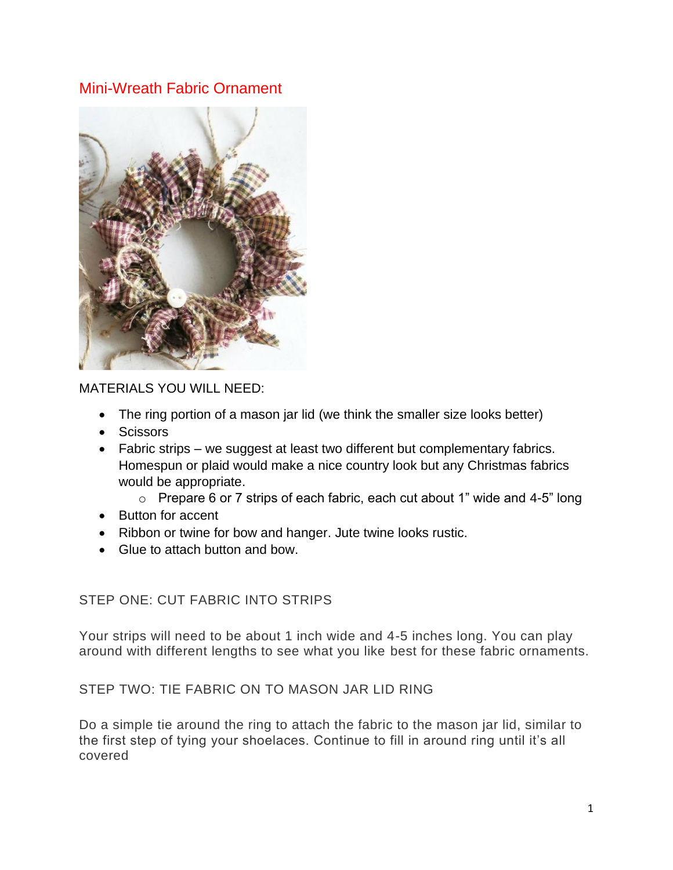# Mini-Wreath Fabric Ornament



MATERIALS YOU WILL NEED:

- The ring portion of a mason jar lid (we think the smaller size looks better)
- Scissors
- Fabric strips we suggest at least two different but complementary fabrics. Homespun or plaid would make a nice country look but any Christmas fabrics would be appropriate.
	- $\circ$  Prepare 6 or 7 strips of each fabric, each cut about 1" wide and 4-5" long
- Button for accent
- Ribbon or twine for bow and hanger. Jute twine looks rustic.
- Glue to attach button and bow.

## STEP ONE: CUT FABRIC INTO STRIPS

Your strips will need to be about 1 inch wide and 4-5 inches long. You can play around with different lengths to see what you like best for these fabric ornaments.

## STEP TWO: TIE FABRIC ON TO MASON JAR LID RING

Do a simple tie around the ring to attach the fabric to the mason jar lid, similar to the first step of tying your shoelaces. Continue to fill in around ring until it's all covered